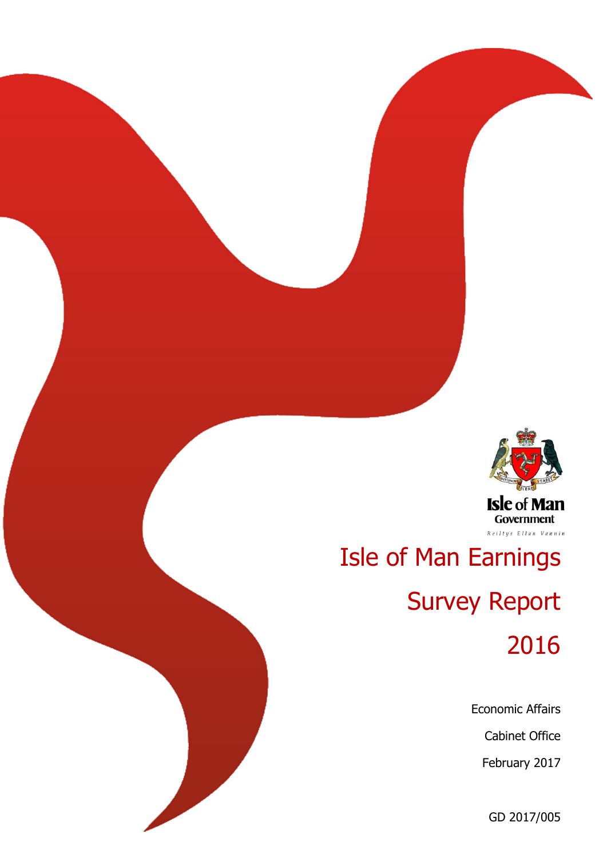

# Isle of Man Earnings Survey Report

2016

Economic Affairs

Cabinet Office

February 2017

GD 2017/005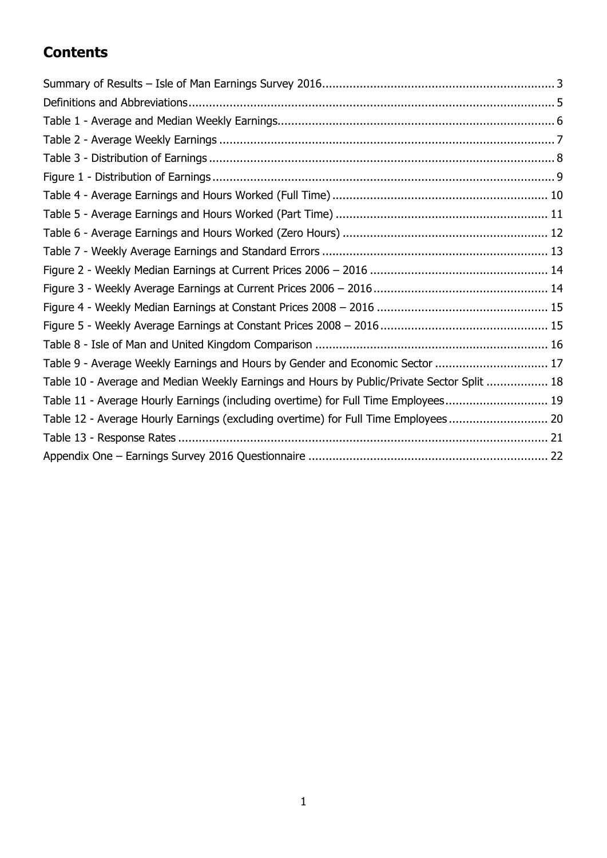# **Contents**

| Table 9 - Average Weekly Earnings and Hours by Gender and Economic Sector  17              |  |
|--------------------------------------------------------------------------------------------|--|
| Table 10 - Average and Median Weekly Earnings and Hours by Public/Private Sector Split  18 |  |
| Table 11 - Average Hourly Earnings (including overtime) for Full Time Employees 19         |  |
| Table 12 - Average Hourly Earnings (excluding overtime) for Full Time Employees 20         |  |
|                                                                                            |  |
|                                                                                            |  |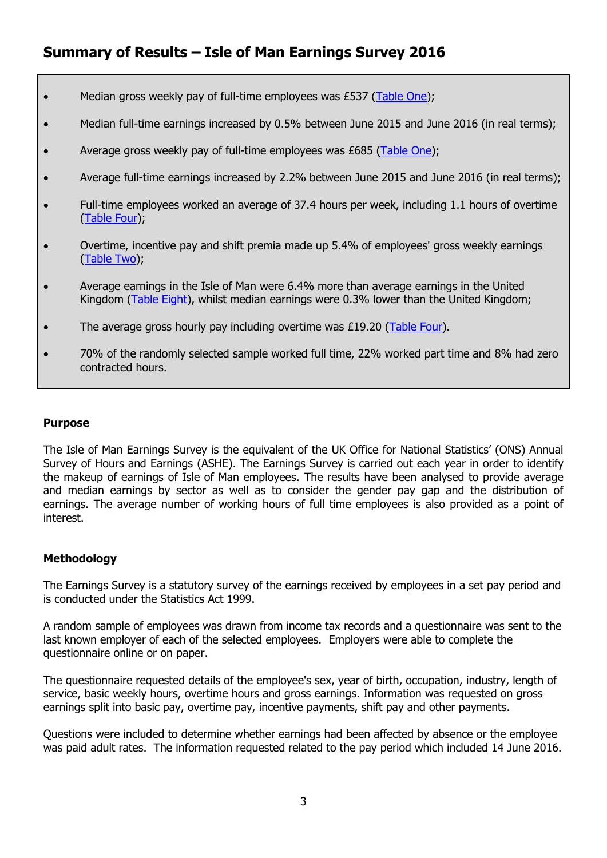- Median gross weekly pay of full-time employees was £537 [\(Table One\)](#page-6-1);
- Median full-time earnings increased by 0.5% between June 2015 and June 2016 (in real terms);
- Average gross weekly pay of full-time employees was  $E685$  [\(Table One\)](#page-8-0);
- Average full-time earnings increased by 2.2% between June 2015 and June 2016 (in real terms);
- Full-time employees worked an average of 37.4 hours per week, including 1.1 hours of overtime [\(Table Four\)](#page-11-1);
- Overtime, incentive pay and shift premia made up 5.4% of employees' gross weekly earnings [\(Table Two\)](#page-9-0);
- Average earnings in the Isle of Man were 6.4% more than average earnings in the United Kingdom [\(Table Eight\)](#page-17-0), whilst median earnings were 0.3% lower than the United Kingdom;
- The average gross hourly pay including overtime was £19.20 [\(Table Four\)](#page-11-1).
- 70% of the randomly selected sample worked full time, 22% worked part time and 8% had zero contracted hours.

#### **Purpose**

The Isle of Man Earnings Survey is the equivalent of the UK Office for National Statistics' (ONS) Annual Survey of Hours and Earnings (ASHE). The Earnings Survey is carried out each year in order to identify the makeup of earnings of Isle of Man employees. The results have been analysed to provide average and median earnings by sector as well as to consider the gender pay gap and the distribution of earnings. The average number of working hours of full time employees is also provided as a point of interest.

### **Methodology**

The Earnings Survey is a statutory survey of the earnings received by employees in a set pay period and is conducted under the Statistics Act 1999.

A random sample of employees was drawn from income tax records and a questionnaire was sent to the last known employer of each of the selected employees. Employers were able to complete the questionnaire online or on paper.

The questionnaire requested details of the employee's sex, year of birth, occupation, industry, length of service, basic weekly hours, overtime hours and gross earnings. Information was requested on gross earnings split into basic pay, overtime pay, incentive payments, shift pay and other payments.

Questions were included to determine whether earnings had been affected by absence or the employee was paid adult rates. The information requested related to the pay period which included 14 June 2016.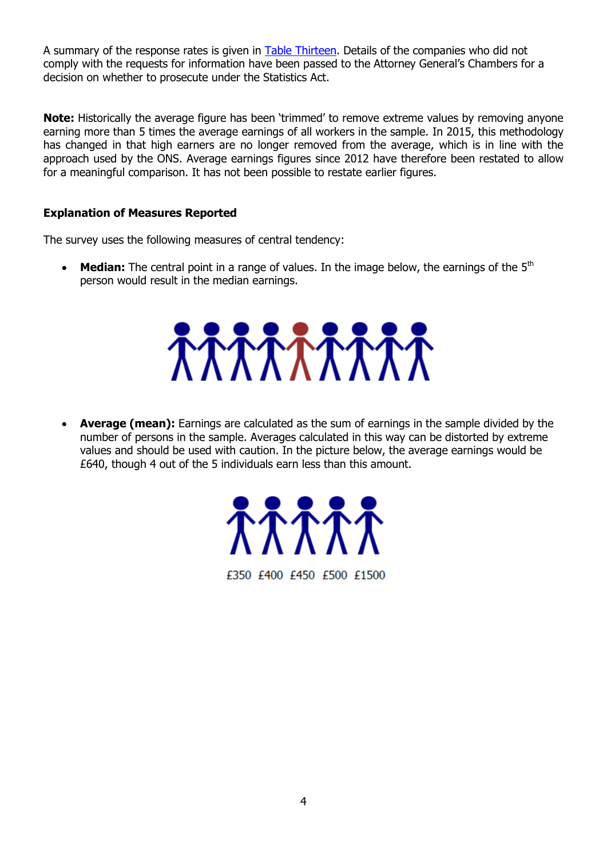A summary of the response rates is given in [Table Thirteen.](#page-22-0) Details of the companies who did not comply with the requests for information have been passed to the Attorney General's Chambers for a decision on whether to prosecute under the Statistics Act.

**Note:** Historically the average figure has been 'trimmed' to remove extreme values by removing anyone earning more than 5 times the average earnings of all workers in the sample. In 2015, this methodology has changed in that high earners are no longer removed from the average, which is in line with the approach used by the ONS. Average earnings figures since 2012 have therefore been restated to allow for a meaningful comparison. It has not been possible to restate earlier figures.

### **Explanation of Measures Reported**

The survey uses the following measures of central tendency:

**Median:** The central point in a range of values. In the image below, the earnings of the 5<sup>th</sup> person would result in the median earnings.

 **Average (mean):** Earnings are calculated as the sum of earnings in the sample divided by the number of persons in the sample. Averages calculated in this way can be distorted by extreme values and should be used with caution. In the picture below, the average earnings would be £640, though 4 out of the 5 individuals earn less than this amount.



£350 £400 £450 £500 £1500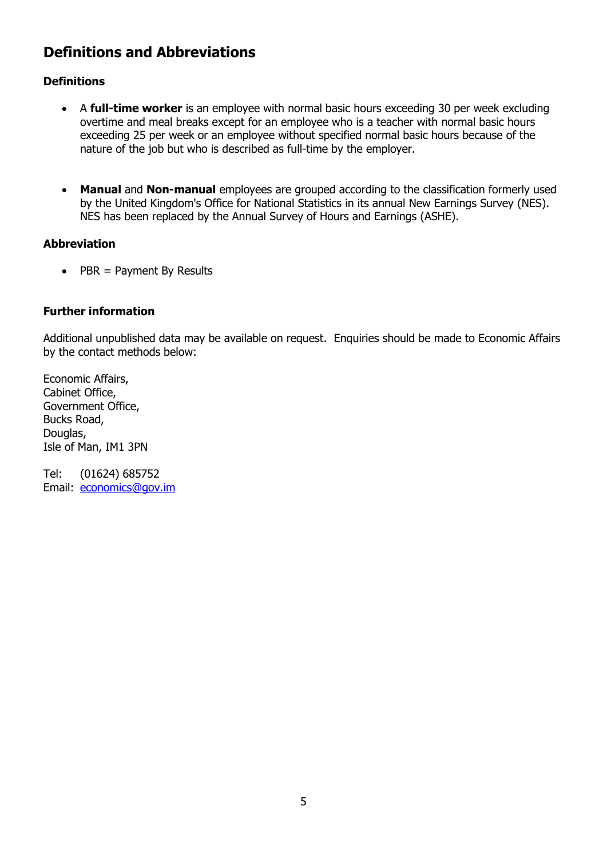# <span id="page-6-0"></span>**Definitions and Abbreviations**

### **Definitions**

- A **full-time worker** is an employee with normal basic hours exceeding 30 per week excluding overtime and meal breaks except for an employee who is a teacher with normal basic hours exceeding 25 per week or an employee without specified normal basic hours because of the nature of the job but who is described as full-time by the employer.
- **Manual** and **Non-manual** employees are grouped according to the classification formerly used by the United Kingdom's Office for National Statistics in its annual New Earnings Survey (NES). NES has been replaced by the Annual Survey of Hours and Earnings (ASHE).

### **Abbreviation**

 $\bullet$  PBR = Payment By Results

### **Further information**

Additional unpublished data may be available on request. Enquiries should be made to Economic Affairs by the contact methods below:

Economic Affairs, Cabinet Office, Government Office, Bucks Road, Douglas, Isle of Man, IM1 3PN

<span id="page-6-1"></span>Tel: (01624) 685752 Email: [economics@gov.im](mailto:economics@gov.im)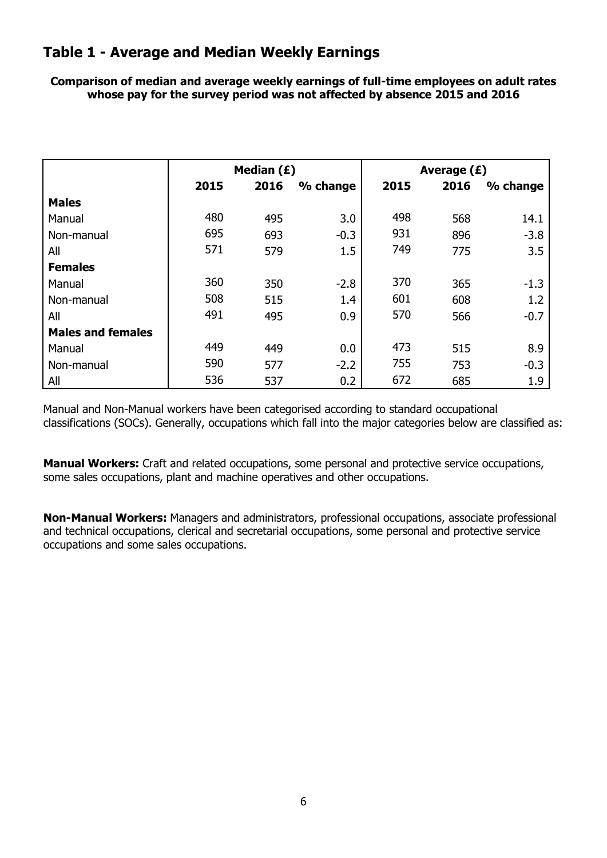### <span id="page-7-0"></span>**Table 1 - Average and Median Weekly Earnings**

**Comparison of median and average weekly earnings of full-time employees on adult rates whose pay for the survey period was not affected by absence 2015 and 2016**

|                          |      | Median (£) |          | Average $(E)$ |      |          |  |  |
|--------------------------|------|------------|----------|---------------|------|----------|--|--|
|                          | 2015 | 2016       | % change | 2015          | 2016 | % change |  |  |
| <b>Males</b>             |      |            |          |               |      |          |  |  |
| Manual                   | 480  | 495        | 3.0      | 498           | 568  | 14.1     |  |  |
| Non-manual               | 695  | 693        | $-0.3$   | 931           | 896  | $-3.8$   |  |  |
| All                      | 571  | 579        | 1.5      | 749           | 775  | 3.5      |  |  |
| <b>Females</b>           |      |            |          |               |      |          |  |  |
| Manual                   | 360  | 350        | $-2.8$   | 370           | 365  | $-1.3$   |  |  |
| Non-manual               | 508  | 515        | 1.4      | 601           | 608  | 1.2      |  |  |
| All                      | 491  | 495        | 0.9      | 570           | 566  | $-0.7$   |  |  |
| <b>Males and females</b> |      |            |          |               |      |          |  |  |
| Manual                   | 449  | 449        | 0.0      | 473           | 515  | 8.9      |  |  |
| Non-manual               | 590  | 577        | $-2.2$   | 755           | 753  | $-0.3$   |  |  |
| All                      | 536  | 537        | 0.2      | 672           | 685  | 1.9      |  |  |

Manual and Non-Manual workers have been categorised according to standard occupational classifications (SOCs). Generally, occupations which fall into the major categories below are classified as:

**Manual Workers:** Craft and related occupations, some personal and protective service occupations, some sales occupations, plant and machine operatives and other occupations.

**Non-Manual Workers:** Managers and administrators, professional occupations, associate professional and technical occupations, clerical and secretarial occupations, some personal and protective service occupations and some sales occupations.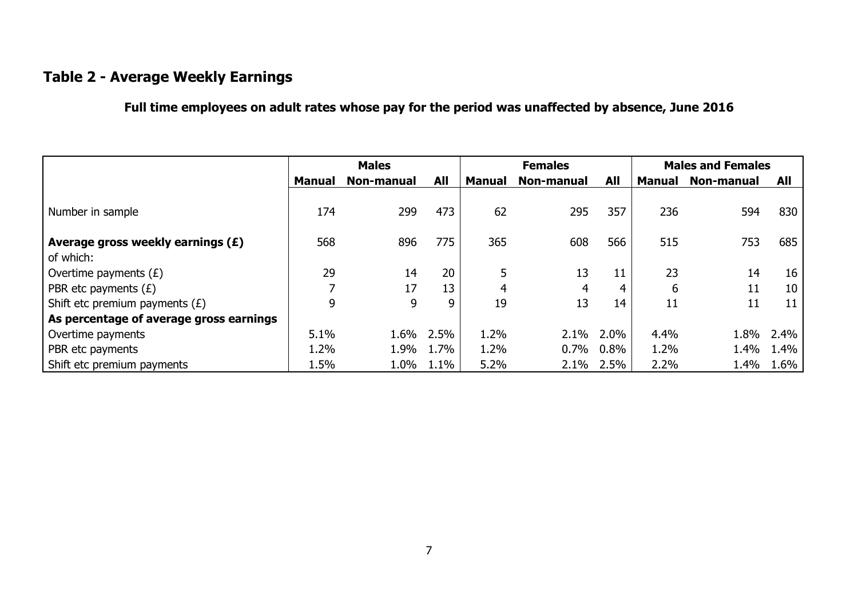# **Table 2 - Average Weekly Earnings**

**Full time employees on adult rates whose pay for the period was unaffected by absence, June 2016**

<span id="page-8-0"></span>

|                                                  |               | <b>Males</b> |      |               | <b>Females</b> |            | <b>Males and Females</b> |            |      |
|--------------------------------------------------|---------------|--------------|------|---------------|----------------|------------|--------------------------|------------|------|
|                                                  | <b>Manual</b> | Non-manual   | All  | <b>Manual</b> | Non-manual     | <b>All</b> | <b>Manual</b>            | Non-manual | All  |
| Number in sample                                 | 174           | 299          | 473  | 62            | 295            | 357        | 236                      | 594        | 830  |
| Average gross weekly earnings $(E)$<br>of which: | 568           | 896          | 775  | 365           | 608            | 566        | 515                      | 753        | 685  |
| Overtime payments $(E)$                          | 29            | 14           | 20   |               | 13             | 11         | 23                       | 14         | 16   |
| <b>PBR</b> etc payments $(E)$                    | 7             | 17           | 13   | 4             | 4              | 4          | 6                        | 11         | 10   |
| Shift etc premium payments $(E)$                 | 9             | 9            | 9    | 19            | 13             | 14         | 11                       | 11         | 11   |
| As percentage of average gross earnings          |               |              |      |               |                |            |                          |            |      |
| Overtime payments                                | 5.1%          | 1.6%         | 2.5% | 1.2%          | 2.1%           | $2.0\%$    | 4.4%                     | 1.8%       | 2.4% |
| <b>PBR</b> etc payments                          | 1.2%          | 1.9%         | 1.7% | 1.2%          | 0.7%           | $0.8\%$    | 1.2%                     | 1.4%       | 1.4% |
| Shift etc premium payments                       | 1.5%          | 1.0%         | 1.1% | 5.2%          | 2.1%           | $2.5\%$    | 2.2%                     | 1.4%       | 1.6% |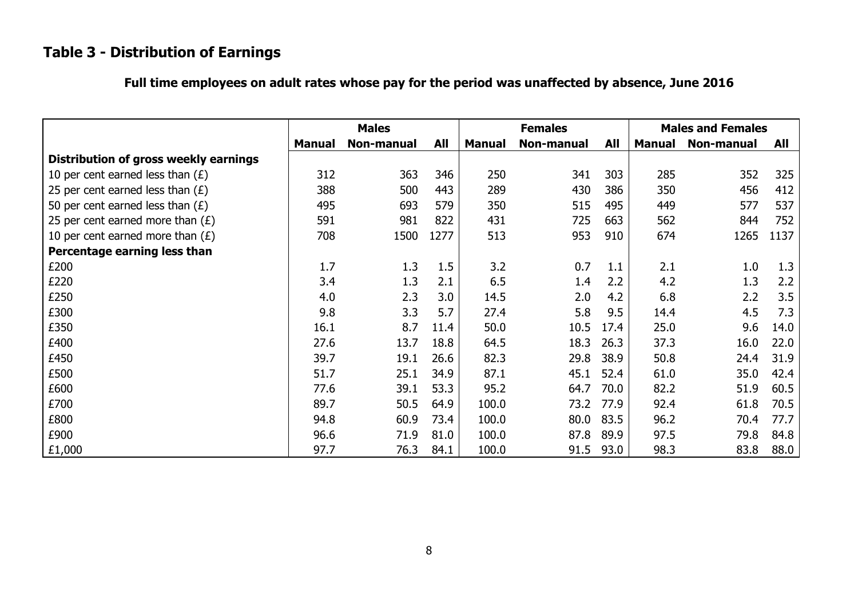# **Table 3 - Distribution of Earnings**

| Full time employees on adult rates whose pay for the period was unaffected by absence, June 2016 |  |  |  |
|--------------------------------------------------------------------------------------------------|--|--|--|
|--------------------------------------------------------------------------------------------------|--|--|--|

<span id="page-9-0"></span>

|                                       |               | <b>Males</b> |            |               | <b>Females</b> |      |               | <b>Males and Females</b> |      |
|---------------------------------------|---------------|--------------|------------|---------------|----------------|------|---------------|--------------------------|------|
|                                       | <b>Manual</b> | Non-manual   | <b>All</b> | <b>Manual</b> | Non-manual     | All  | <b>Manual</b> | <b>Non-manual</b>        | All  |
| Distribution of gross weekly earnings |               |              |            |               |                |      |               |                          |      |
| 10 per cent earned less than $(E)$    | 312           | 363          | 346        | 250           | 341            | 303  | 285           | 352                      | 325  |
| 25 per cent earned less than $(E)$    | 388           | 500          | 443        | 289           | 430            | 386  | 350           | 456                      | 412  |
| 50 per cent earned less than $(E)$    | 495           | 693          | 579        | 350           | 515            | 495  | 449           | 577                      | 537  |
| 25 per cent earned more than $(E)$    | 591           | 981          | 822        | 431           | 725            | 663  | 562           | 844                      | 752  |
| 10 per cent earned more than $(E)$    | 708           | 1500         | 1277       | 513           | 953            | 910  | 674           | 1265                     | 1137 |
| Percentage earning less than          |               |              |            |               |                |      |               |                          |      |
| £200                                  | 1.7           | 1.3          | 1.5        | 3.2           | 0.7            | 1.1  | 2.1           | 1.0                      | 1.3  |
| £220                                  | 3.4           | 1.3          | 2.1        | 6.5           | 1.4            | 2.2  | 4.2           | 1.3                      | 2.2  |
| £250                                  | 4.0           | 2.3          | 3.0        | 14.5          | 2.0            | 4.2  | 6.8           | 2.2                      | 3.5  |
| £300                                  | 9.8           | 3.3          | 5.7        | 27.4          | 5.8            | 9.5  | 14.4          | 4.5                      | 7.3  |
| £350                                  | 16.1          | 8.7          | 11.4       | 50.0          | 10.5           | 17.4 | 25.0          | 9.6                      | 14.0 |
| £400                                  | 27.6          | 13.7         | 18.8       | 64.5          | 18.3           | 26.3 | 37.3          | 16.0                     | 22.0 |
| £450                                  | 39.7          | 19.1         | 26.6       | 82.3          | 29.8           | 38.9 | 50.8          | 24.4                     | 31.9 |
| £500                                  | 51.7          | 25.1         | 34.9       | 87.1          | 45.1           | 52.4 | 61.0          | 35.0                     | 42.4 |
| £600                                  | 77.6          | 39.1         | 53.3       | 95.2          | 64.7           | 70.0 | 82.2          | 51.9                     | 60.5 |
| £700                                  | 89.7          | 50.5         | 64.9       | 100.0         | 73.2           | 77.9 | 92.4          | 61.8                     | 70.5 |
| £800                                  | 94.8          | 60.9         | 73.4       | 100.0         | 80.0           | 83.5 | 96.2          | 70.4                     | 77.7 |
| £900                                  | 96.6          | 71.9         | 81.0       | 100.0         | 87.8           | 89.9 | 97.5          | 79.8                     | 84.8 |
| £1,000                                | 97.7          | 76.3         | 84.1       | 100.0         | 91.5           | 93.0 | 98.3          | 83.8                     | 88.0 |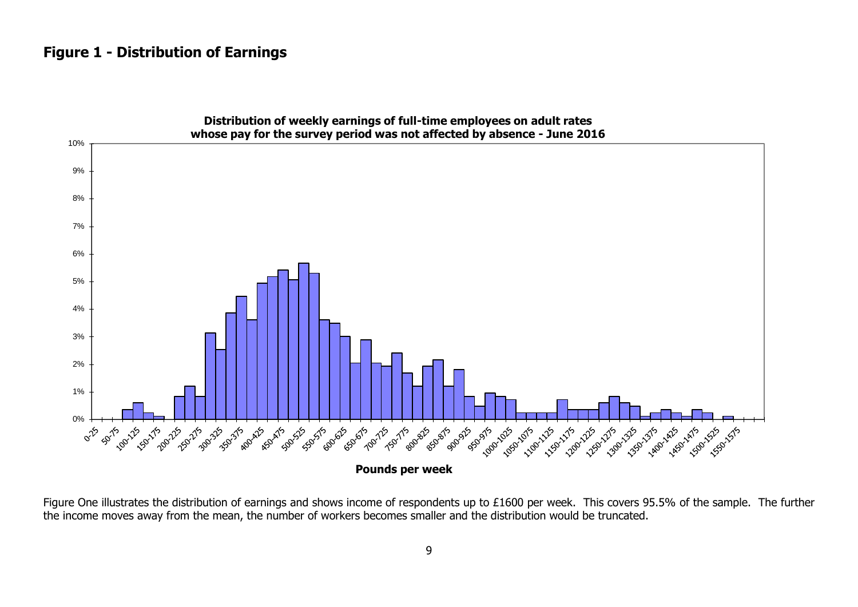### **Figure 1 - Distribution of Earnings**

<span id="page-10-0"></span>

Figure One illustrates the distribution of earnings and shows income of respondents up to £1600 per week. This covers 95.5% of the sample. The further the income moves away from the mean, the number of workers becomes smaller and the distribution would be truncated.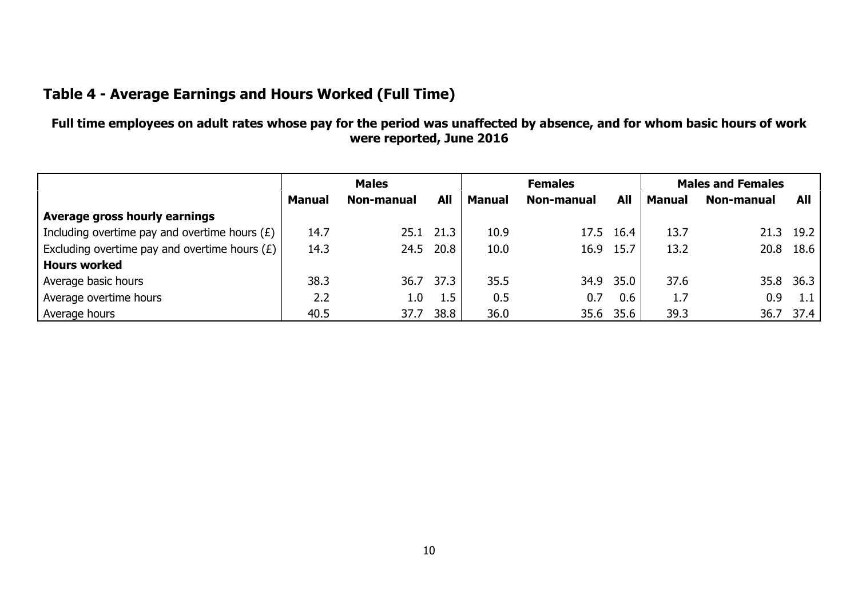# **Table 4 - Average Earnings and Hours Worked (Full Time)**

**Full time employees on adult rates whose pay for the period was unaffected by absence, and for whom basic hours of work were reported, June 2016**

<span id="page-11-1"></span><span id="page-11-0"></span>

|                                                 | <b>Males</b>                              |      |               | <b>Females</b>           |      |               | <b>Males and Females</b> |      |           |
|-------------------------------------------------|-------------------------------------------|------|---------------|--------------------------|------|---------------|--------------------------|------|-----------|
|                                                 | <b>All</b><br>Non-manual<br><b>Manual</b> |      | <b>Manual</b> | All<br><b>Non-manual</b> |      | <b>Manual</b> | Non-manual               | All  |           |
| Average gross hourly earnings                   |                                           |      |               |                          |      |               |                          |      |           |
| Including overtime pay and overtime hours $(E)$ | 14.7                                      | 25.1 | 21.3          | 10.9                     | 17.5 | 16.4          | 13.7                     | 21.3 | 19.2      |
| Excluding overtime pay and overtime hours $(E)$ | 14.3                                      |      | 24.5 20.8     | 10.0                     | 16.9 | 15.7          | 13.2                     | 20.8 | 18.6      |
| Hours worked                                    |                                           |      |               |                          |      |               |                          |      |           |
| Average basic hours                             | 38.3                                      | 36.7 | 37.3          | 35.5                     | 34.9 | 35.0          | 37.6                     |      | 35.8 36.3 |
| Average overtime hours                          | 2.2                                       | 1.0  | 1.5           | 0.5                      | 0.7  | 0.6           | 1.7                      | 0.9  | 1.1       |
| Average hours                                   | 40.5                                      | 37.7 | 38.8          | 36.0                     |      | 35.6 35.6     | 39.3                     |      | 36.7 37.4 |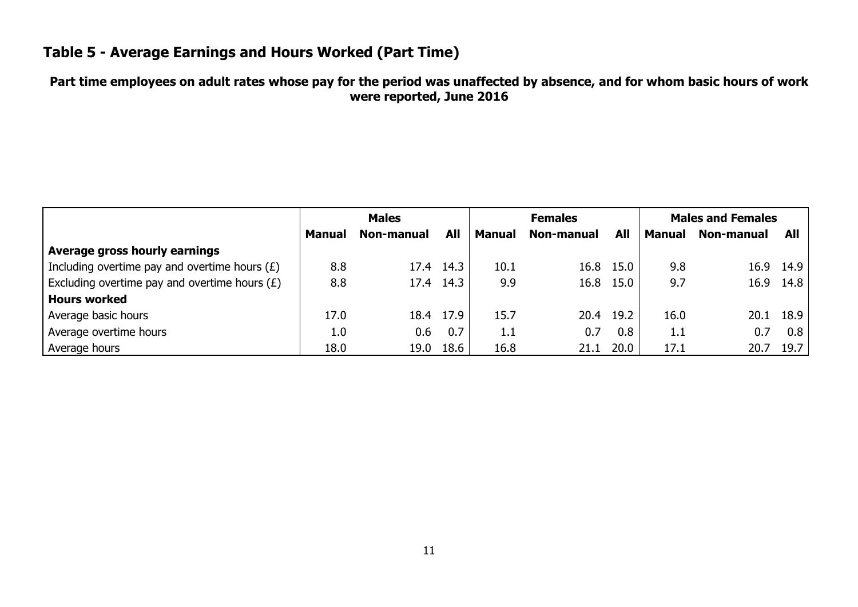# **Table 5 - Average Earnings and Hours Worked (Part Time)**

### **Part time employees on adult rates whose pay for the period was unaffected by absence, and for whom basic hours of work were reported, June 2016**

<span id="page-12-0"></span>

|                                                 | <b>Males</b>  |                   |      | <b>Females</b> |            |           | <b>Males and Females</b> |            |      |
|-------------------------------------------------|---------------|-------------------|------|----------------|------------|-----------|--------------------------|------------|------|
|                                                 | <b>Manual</b> | <b>Non-manual</b> | All  | <b>Manual</b>  | Non-manual | All       | Manual                   | Non-manual | All  |
| Average gross hourly earnings                   |               |                   |      |                |            |           |                          |            |      |
| Including overtime pay and overtime hours $(E)$ | 8.8           | 17.4              | 14.3 | 10.1           |            | 16.8 15.0 | 9.8                      | 16.9       | 14.9 |
| Excluding overtime pay and overtime hours $(E)$ | 8.8           | 17.4              | 14.3 | 9.9            |            | 16.8 15.0 | 9.7                      | 16.9       | 14.8 |
| <b>Hours worked</b>                             |               |                   |      |                |            |           |                          |            |      |
| Average basic hours                             | 17.0          | 18.4              | 17.9 | 15.7           |            | 20.4 19.2 | 16.0                     | 20.1       | 18.9 |
| Average overtime hours                          | 1.0           | 0.6               | 0.7  | 1.1            | 0.7        | 0.8       | 1.1                      | 0.7        | 0.8  |
| Average hours                                   | 18.0          | 19.0              | 18.6 | 16.8           | 21.1       | 20.0      | 17.1                     | 20.7       | 19.7 |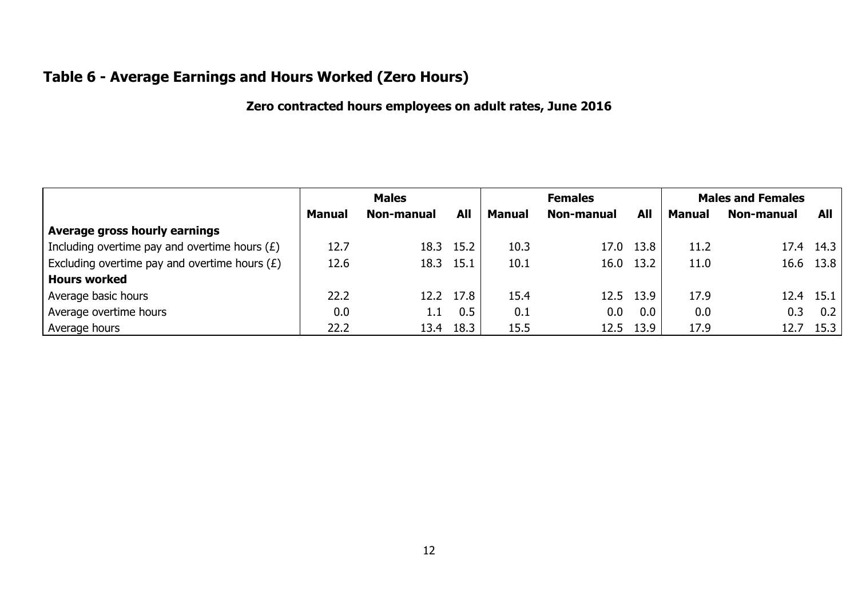# **Table 6 - Average Earnings and Hours Worked (Zero Hours)**

### **Zero contracted hours employees on adult rates, June 2016**

<span id="page-13-0"></span>

|                                                 | <b>Males</b>  |                   |           | <b>Females</b> |            |            | <b>Males and Females</b> |            |           |
|-------------------------------------------------|---------------|-------------------|-----------|----------------|------------|------------|--------------------------|------------|-----------|
|                                                 | <b>Manual</b> | <b>Non-manual</b> | All       | <b>Manual</b>  | Non-manual | <b>All</b> | <b>Manual</b>            | Non-manual | All       |
| Average gross hourly earnings                   |               |                   |           |                |            |            |                          |            |           |
| Including overtime pay and overtime hours $(E)$ | 12.7          |                   | 18.3 15.2 | 10.3           | 17.0       | 13.8       | 11.2                     | 17.4       | 14.3      |
| Excluding overtime pay and overtime hours $(E)$ | 12.6          |                   | 18.3 15.1 | 10.1           | 16.0       | 13.2       | 11.0                     |            | 16.6 13.8 |
| <b>Hours worked</b>                             |               |                   |           |                |            |            |                          |            |           |
| Average basic hours                             | 22.2          |                   | 12.2 17.8 | 15.4           | 12.5       | 13.9       | 17.9                     | 12.4       | 15.1      |
| Average overtime hours                          | 0.0           | 1.1               | 0.5       | 0.1            | 0.0        | 0.0        | 0.0                      | 0.3        | 0.2       |
| Average hours                                   | 22.2          | 13.4              | 18.3      | 15.5           | 12.5       | 13.9       | 17.9                     | 12.7       | 15.3      |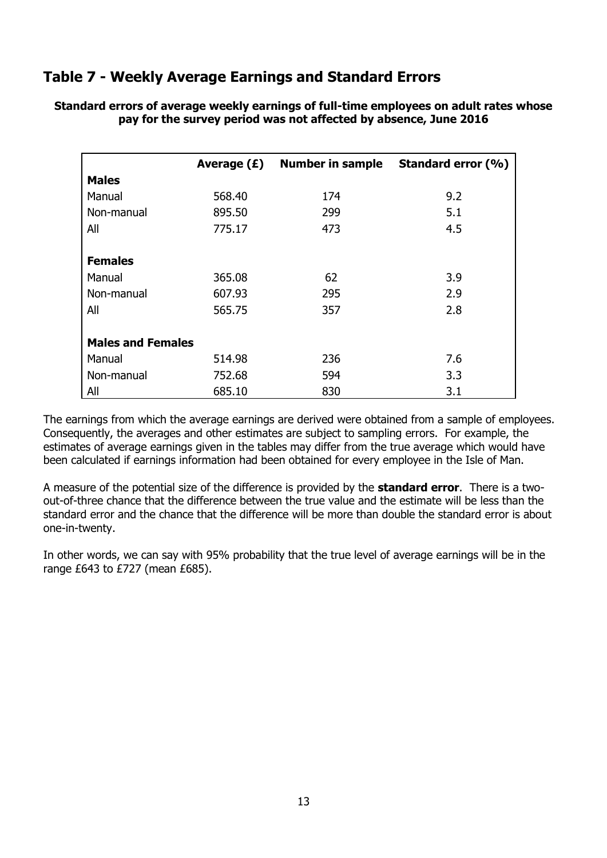# <span id="page-14-0"></span>**Table 7 - Weekly Average Earnings and Standard Errors**

|                          | Average $(E)$ | <b>Number in sample</b> | Standard error (%) |
|--------------------------|---------------|-------------------------|--------------------|
| <b>Males</b>             |               |                         |                    |
| Manual                   | 568.40        | 174                     | 9.2                |
| Non-manual               | 895.50        | 299                     | 5.1                |
| All                      | 775.17        | 473                     | 4.5                |
| <b>Females</b>           |               |                         |                    |
| Manual                   | 365.08        | 62                      | 3.9                |
| Non-manual               | 607.93        | 295                     | 2.9                |
| All                      | 565.75        | 357                     | 2.8                |
| <b>Males and Females</b> |               |                         |                    |
| Manual                   | 514.98        | 236                     | 7.6                |
| Non-manual               | 752.68        | 594                     | 3.3                |
| All                      | 685.10        | 830                     | 3.1                |

**Standard errors of average weekly earnings of full-time employees on adult rates whose pay for the survey period was not affected by absence, June 2016**

The earnings from which the average earnings are derived were obtained from a sample of employees. Consequently, the averages and other estimates are subject to sampling errors. For example, the estimates of average earnings given in the tables may differ from the true average which would have been calculated if earnings information had been obtained for every employee in the Isle of Man.

A measure of the potential size of the difference is provided by the **standard error**. There is a twoout-of-three chance that the difference between the true value and the estimate will be less than the standard error and the chance that the difference will be more than double the standard error is about one-in-twenty.

In other words, we can say with 95% probability that the true level of average earnings will be in the range £643 to £727 (mean £685).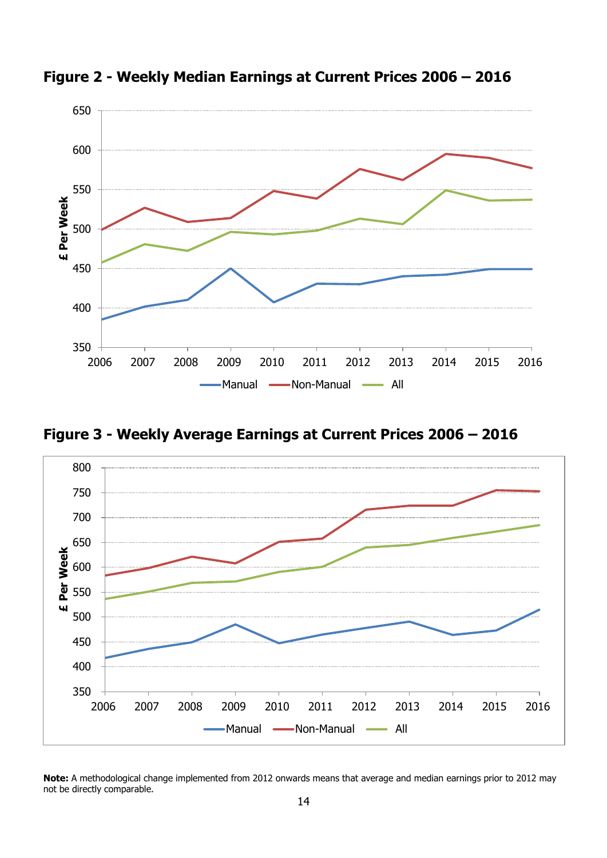![](_page_15_Figure_0.jpeg)

<span id="page-15-0"></span>**Figure 2 - Weekly Median Earnings at Current Prices 2006 – 2016**

<span id="page-15-1"></span>**Figure 3 - Weekly Average Earnings at Current Prices 2006 – 2016**

![](_page_15_Figure_3.jpeg)

**Note:** A methodological change implemented from 2012 onwards means that average and median earnings prior to 2012 may not be directly comparable.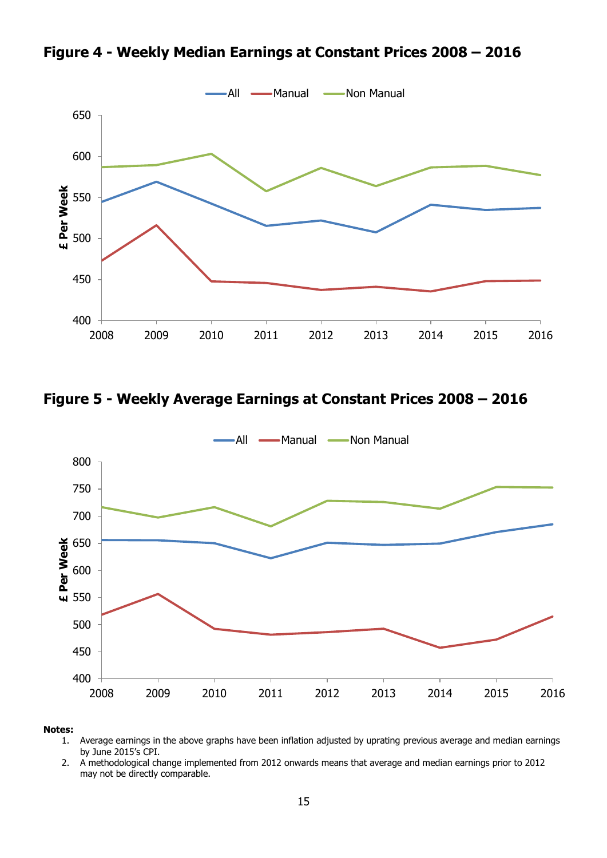<span id="page-16-0"></span>**Figure 4 - Weekly Median Earnings at Constant Prices 2008 – 2016**

![](_page_16_Figure_1.jpeg)

<span id="page-16-1"></span>**Figure 5 - Weekly Average Earnings at Constant Prices 2008 – 2016**

![](_page_16_Figure_3.jpeg)

#### **Notes:**

- 1. Average earnings in the above graphs have been inflation adjusted by uprating previous average and median earnings by June 2015's CPI.
- 2. A methodological change implemented from 2012 onwards means that average and median earnings prior to 2012 may not be directly comparable.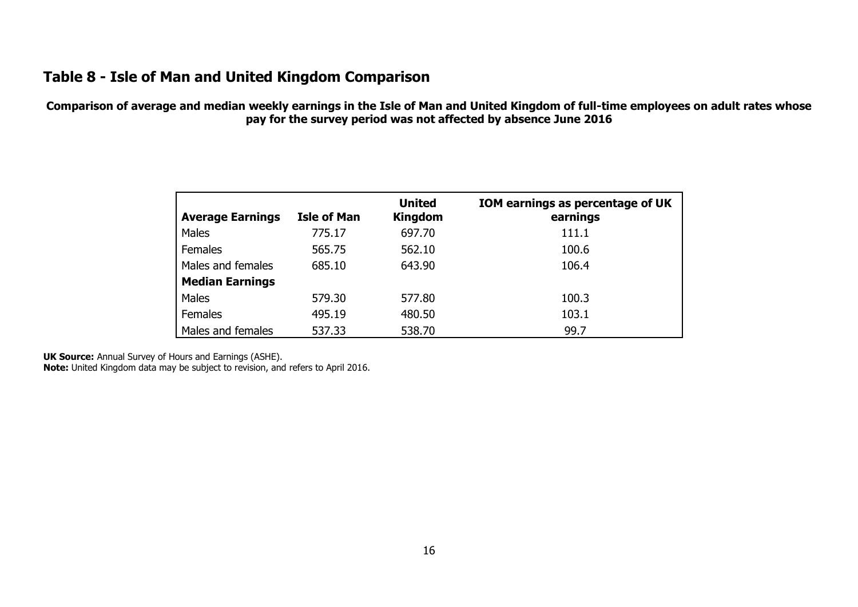# **Table 8 - Isle of Man and United Kingdom Comparison**

**Comparison of average and median weekly earnings in the Isle of Man and United Kingdom of full-time employees on adult rates whose pay for the survey period was not affected by absence June 2016**

| <b>Average Earnings</b> | <b>Isle of Man</b> | <b>United</b><br><b>Kingdom</b> | IOM earnings as percentage of UK<br>earnings |
|-------------------------|--------------------|---------------------------------|----------------------------------------------|
| Males                   | 775.17             | 697.70                          | 111.1                                        |
| <b>Females</b>          | 565.75             | 562.10                          | 100.6                                        |
| Males and females       | 685.10             | 643.90                          | 106.4                                        |
| <b>Median Earnings</b>  |                    |                                 |                                              |
| Males                   | 579.30             | 577.80                          | 100.3                                        |
| <b>Females</b>          | 495.19             | 480.50                          | 103.1                                        |
| Males and females       | 537.33             | 538.70                          | 99.7                                         |

<span id="page-17-0"></span>**UK Source:** Annual Survey of Hours and Earnings (ASHE).

**Note:** United Kingdom data may be subject to revision, and refers to April 2016.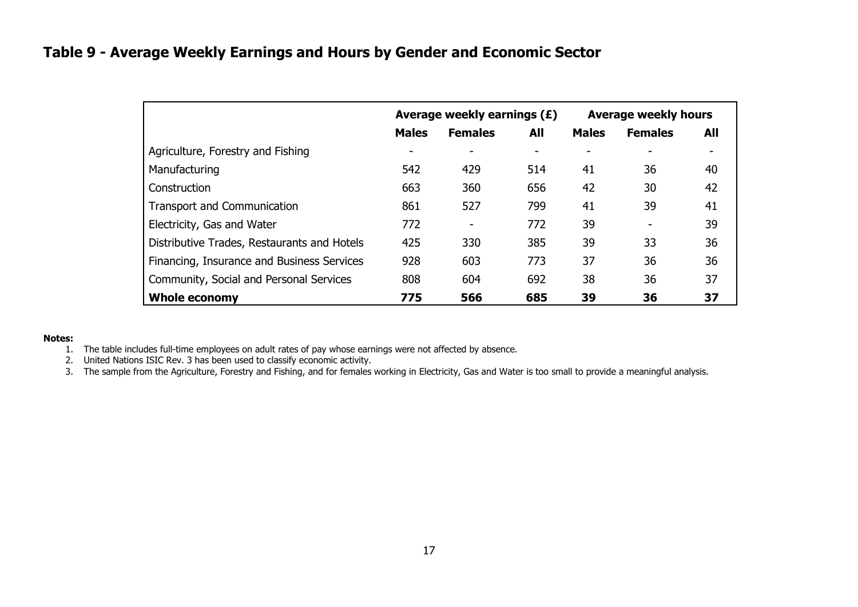# **Table 9 - Average Weekly Earnings and Hours by Gender and Economic Sector**

|                                             |              | Average weekly earnings (£) |     | <b>Average weekly hours</b> |                |     |  |
|---------------------------------------------|--------------|-----------------------------|-----|-----------------------------|----------------|-----|--|
|                                             | <b>Males</b> | <b>Females</b>              | All | <b>Males</b>                | <b>Females</b> | All |  |
| Agriculture, Forestry and Fishing           |              | ۰                           |     |                             |                |     |  |
| Manufacturing                               | 542          | 429                         | 514 | 41                          | 36             | 40  |  |
| Construction                                | 663          | 360                         | 656 | 42                          | 30             | 42  |  |
| <b>Transport and Communication</b>          | 861          | 527                         | 799 | 41                          | 39             | 41  |  |
| Electricity, Gas and Water                  | 772          | -                           | 772 | 39                          |                | 39  |  |
| Distributive Trades, Restaurants and Hotels | 425          | 330                         | 385 | 39                          | 33             | 36  |  |
| Financing, Insurance and Business Services  | 928          | 603                         | 773 | 37                          | 36             | 36  |  |
| Community, Social and Personal Services     | 808          | 604                         | 692 | 38                          | 36             | 37  |  |
| <b>Whole economy</b>                        | 775          | 566                         | 685 | 39                          | 36             | 37  |  |

#### <span id="page-18-0"></span>**Notes:**

- 1. The table includes full-time employees on adult rates of pay whose earnings were not affected by absence.
- 2. United Nations ISIC Rev. 3 has been used to classify economic activity.
- 3. The sample from the Agriculture, Forestry and Fishing, and for females working in Electricity, Gas and Water is too small to provide a meaningful analysis.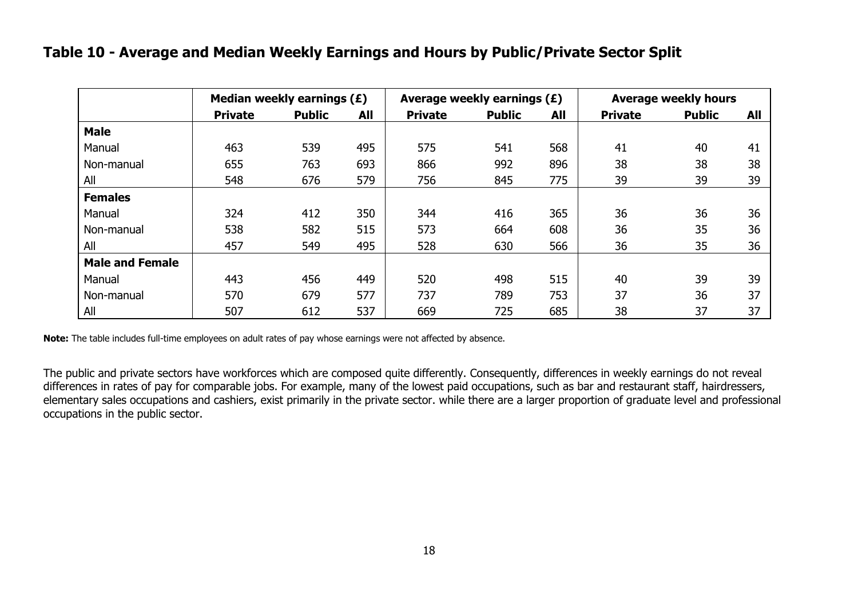### **Table 10 - Average and Median Weekly Earnings and Hours by Public/Private Sector Split**

|                        |                | Median weekly earnings (£) |            |                | Average weekly earnings (£) |     | <b>Average weekly hours</b> |               |     |  |
|------------------------|----------------|----------------------------|------------|----------------|-----------------------------|-----|-----------------------------|---------------|-----|--|
|                        | <b>Private</b> | <b>Public</b>              | <b>All</b> | <b>Private</b> | <b>Public</b>               | All | <b>Private</b>              | <b>Public</b> | All |  |
| <b>Male</b>            |                |                            |            |                |                             |     |                             |               |     |  |
| Manual                 | 463            | 539                        | 495        | 575            | 541                         | 568 | 41                          | 40            | 41  |  |
| Non-manual             | 655            | 763                        | 693        | 866            | 992                         | 896 | 38                          | 38            | 38  |  |
| All                    | 548            | 676                        | 579        | 756            | 845                         | 775 | 39                          | 39            | 39  |  |
| <b>Females</b>         |                |                            |            |                |                             |     |                             |               |     |  |
| Manual                 | 324            | 412                        | 350        | 344            | 416                         | 365 | 36                          | 36            | 36  |  |
| Non-manual             | 538            | 582                        | 515        | 573            | 664                         | 608 | 36                          | 35            | 36  |  |
| All                    | 457            | 549                        | 495        | 528            | 630                         | 566 | 36                          | 35            | 36  |  |
| <b>Male and Female</b> |                |                            |            |                |                             |     |                             |               |     |  |
| Manual                 | 443            | 456                        | 449        | 520            | 498                         | 515 | 40                          | 39            | 39  |  |
| Non-manual             | 570            | 679                        | 577        | 737            | 789                         | 753 | 37                          | 36            | 37  |  |
| All                    | 507            | 612                        | 537        | 669            | 725                         | 685 | 38                          | 37            | 37  |  |

<span id="page-19-0"></span>**Note:** The table includes full-time employees on adult rates of pay whose earnings were not affected by absence.

The public and private sectors have workforces which are composed quite differently. Consequently, differences in weekly earnings do not reveal differences in rates of pay for comparable jobs. For example, many of the lowest paid occupations, such as bar and restaurant staff, hairdressers, elementary sales occupations and cashiers, exist primarily in the private sector. while there are a larger proportion of graduate level and professional occupations in the public sector.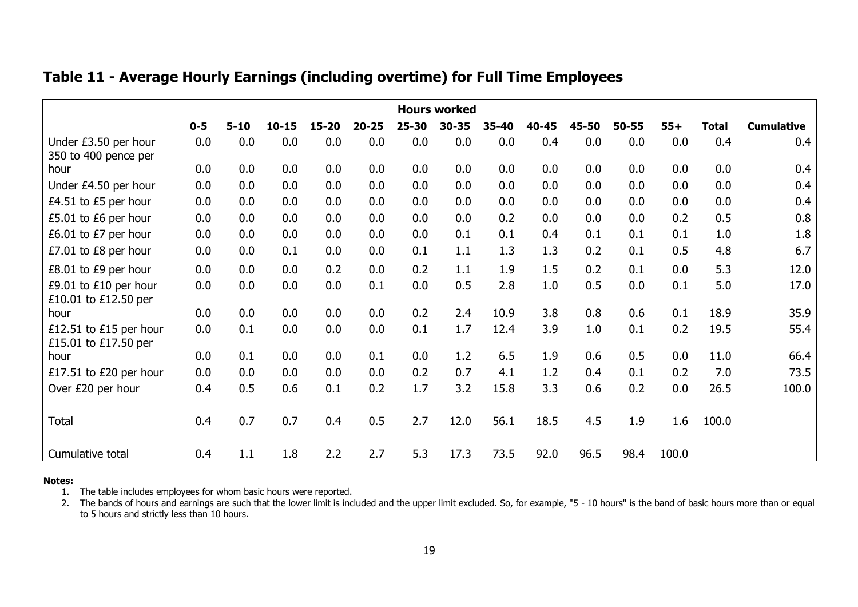|                                                | <b>Hours worked</b> |          |           |           |           |           |           |       |       |       |       |       |              |                   |
|------------------------------------------------|---------------------|----------|-----------|-----------|-----------|-----------|-----------|-------|-------|-------|-------|-------|--------------|-------------------|
|                                                | $0 - 5$             | $5 - 10$ | $10 - 15$ | $15 - 20$ | $20 - 25$ | $25 - 30$ | $30 - 35$ | 35-40 | 40-45 | 45-50 | 50-55 | $55+$ | <b>Total</b> | <b>Cumulative</b> |
| Under £3.50 per hour<br>350 to 400 pence per   | 0.0                 | 0.0      | 0.0       | 0.0       | 0.0       | 0.0       | 0.0       | 0.0   | 0.4   | 0.0   | 0.0   | 0.0   | 0.4          | 0.4               |
| hour                                           | 0.0                 | 0.0      | 0.0       | 0.0       | 0.0       | 0.0       | 0.0       | 0.0   | 0.0   | 0.0   | 0.0   | 0.0   | 0.0          | 0.4               |
| Under £4.50 per hour                           | 0.0                 | 0.0      | 0.0       | 0.0       | 0.0       | 0.0       | 0.0       | 0.0   | 0.0   | 0.0   | 0.0   | 0.0   | 0.0          | 0.4               |
| £4.51 to £5 per hour                           | 0.0                 | 0.0      | 0.0       | 0.0       | 0.0       | 0.0       | 0.0       | 0.0   | 0.0   | 0.0   | 0.0   | 0.0   | 0.0          | 0.4               |
| £5.01 to £6 per hour                           | 0.0                 | 0.0      | 0.0       | 0.0       | 0.0       | 0.0       | 0.0       | 0.2   | 0.0   | 0.0   | 0.0   | 0.2   | 0.5          | 0.8               |
| £6.01 to £7 per hour                           | 0.0                 | 0.0      | 0.0       | 0.0       | 0.0       | 0.0       | 0.1       | 0.1   | 0.4   | 0.1   | 0.1   | 0.1   | 1.0          | 1.8               |
| £7.01 to £8 per hour                           | 0.0                 | 0.0      | 0.1       | 0.0       | 0.0       | 0.1       | 1.1       | 1.3   | 1.3   | 0.2   | 0.1   | 0.5   | 4.8          | 6.7               |
| £8.01 to £9 per hour                           | 0.0                 | 0.0      | 0.0       | 0.2       | 0.0       | 0.2       | 1.1       | 1.9   | 1.5   | 0.2   | 0.1   | 0.0   | 5.3          | 12.0              |
| £9.01 to £10 per hour<br>£10.01 to £12.50 per  | 0.0                 | 0.0      | 0.0       | 0.0       | 0.1       | 0.0       | 0.5       | 2.8   | 1.0   | 0.5   | 0.0   | 0.1   | 5.0          | 17.0              |
| hour                                           | 0.0                 | 0.0      | 0.0       | 0.0       | 0.0       | 0.2       | 2.4       | 10.9  | 3.8   | 0.8   | 0.6   | 0.1   | 18.9         | 35.9              |
| £12.51 to £15 per hour<br>£15.01 to £17.50 per | 0.0                 | 0.1      | 0.0       | 0.0       | 0.0       | 0.1       | 1.7       | 12.4  | 3.9   | 1.0   | 0.1   | 0.2   | 19.5         | 55.4              |
| hour                                           | 0.0                 | 0.1      | 0.0       | 0.0       | 0.1       | 0.0       | 1.2       | 6.5   | 1.9   | 0.6   | 0.5   | 0.0   | 11.0         | 66.4              |
| £17.51 to £20 per hour                         | 0.0                 | 0.0      | 0.0       | 0.0       | 0.0       | 0.2       | 0.7       | 4.1   | 1.2   | 0.4   | 0.1   | 0.2   | 7.0          | 73.5              |
| Over £20 per hour                              | 0.4                 | 0.5      | 0.6       | 0.1       | 0.2       | 1.7       | 3.2       | 15.8  | 3.3   | 0.6   | 0.2   | 0.0   | 26.5         | 100.0             |
| Total                                          | 0.4                 | 0.7      | 0.7       | 0.4       | 0.5       | 2.7       | 12.0      | 56.1  | 18.5  | 4.5   | 1.9   | 1.6   | 100.0        |                   |
| Cumulative total                               | 0.4                 | 1.1      | 1.8       | 2.2       | 2.7       | 5.3       | 17.3      | 73.5  | 92.0  | 96.5  | 98.4  | 100.0 |              |                   |

# **Table 11 - Average Hourly Earnings (including overtime) for Full Time Employees**

#### <span id="page-20-0"></span>**Notes:**

1. The table includes employees for whom basic hours were reported.

2. The bands of hours and earnings are such that the lower limit is included and the upper limit excluded. So, for example, "5 - 10 hours" is the band of basic hours more than or equal to 5 hours and strictly less than 10 hours.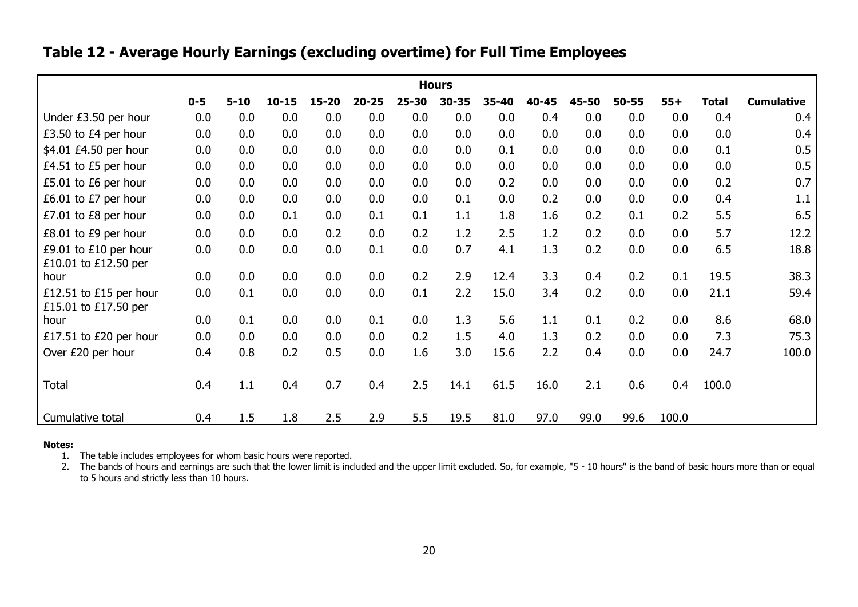# **Table 12 - Average Hourly Earnings (excluding overtime) for Full Time Employees**

|                                                | <b>Hours</b> |          |           |           |           |           |           |       |       |       |           |       |              |                   |
|------------------------------------------------|--------------|----------|-----------|-----------|-----------|-----------|-----------|-------|-------|-------|-----------|-------|--------------|-------------------|
|                                                | $0 - 5$      | $5 - 10$ | $10 - 15$ | $15 - 20$ | $20 - 25$ | $25 - 30$ | $30 - 35$ | 35-40 | 40-45 | 45-50 | $50 - 55$ | $55+$ | <b>Total</b> | <b>Cumulative</b> |
| Under £3.50 per hour                           | 0.0          | 0.0      | 0.0       | 0.0       | 0.0       | 0.0       | 0.0       | 0.0   | 0.4   | 0.0   | 0.0       | 0.0   | 0.4          | 0.4               |
| £3.50 to £4 per hour                           | 0.0          | 0.0      | 0.0       | 0.0       | 0.0       | 0.0       | 0.0       | 0.0   | 0.0   | 0.0   | 0.0       | 0.0   | 0.0          | 0.4               |
| \$4.01 £4.50 per hour                          | 0.0          | 0.0      | 0.0       | 0.0       | 0.0       | 0.0       | 0.0       | 0.1   | 0.0   | 0.0   | 0.0       | 0.0   | 0.1          | 0.5               |
| £4.51 to £5 per hour                           | 0.0          | 0.0      | 0.0       | 0.0       | 0.0       | 0.0       | 0.0       | 0.0   | 0.0   | 0.0   | 0.0       | 0.0   | 0.0          | 0.5               |
| £5.01 to £6 per hour                           | 0.0          | 0.0      | 0.0       | 0.0       | 0.0       | 0.0       | 0.0       | 0.2   | 0.0   | 0.0   | 0.0       | 0.0   | 0.2          | 0.7               |
| £6.01 to £7 per hour                           | 0.0          | 0.0      | 0.0       | 0.0       | 0.0       | 0.0       | 0.1       | 0.0   | 0.2   | 0.0   | 0.0       | 0.0   | 0.4          | 1.1               |
| £7.01 to £8 per hour                           | 0.0          | 0.0      | 0.1       | 0.0       | 0.1       | 0.1       | 1.1       | 1.8   | 1.6   | 0.2   | 0.1       | 0.2   | 5.5          | 6.5               |
| £8.01 to £9 per hour                           | 0.0          | 0.0      | 0.0       | 0.2       | 0.0       | 0.2       | 1.2       | 2.5   | 1.2   | 0.2   | 0.0       | 0.0   | 5.7          | 12.2              |
| £9.01 to £10 per hour<br>£10.01 to £12.50 per  | 0.0          | 0.0      | 0.0       | 0.0       | 0.1       | 0.0       | 0.7       | 4.1   | 1.3   | 0.2   | 0.0       | 0.0   | 6.5          | 18.8              |
| hour                                           | 0.0          | 0.0      | 0.0       | 0.0       | 0.0       | 0.2       | 2.9       | 12.4  | 3.3   | 0.4   | 0.2       | 0.1   | 19.5         | 38.3              |
| £12.51 to £15 per hour<br>£15.01 to £17.50 per | 0.0          | 0.1      | 0.0       | 0.0       | 0.0       | 0.1       | 2.2       | 15.0  | 3.4   | 0.2   | 0.0       | 0.0   | 21.1         | 59.4              |
| hour                                           | 0.0          | 0.1      | 0.0       | 0.0       | 0.1       | 0.0       | 1.3       | 5.6   | 1.1   | 0.1   | 0.2       | 0.0   | 8.6          | 68.0              |
| £17.51 to £20 per hour                         | 0.0          | 0.0      | 0.0       | 0.0       | 0.0       | 0.2       | 1.5       | 4.0   | 1.3   | 0.2   | 0.0       | 0.0   | 7.3          | 75.3              |
| Over £20 per hour                              | 0.4          | 0.8      | 0.2       | 0.5       | 0.0       | 1.6       | 3.0       | 15.6  | 2.2   | 0.4   | 0.0       | 0.0   | 24.7         | 100.0             |
| Total                                          | 0.4          | 1.1      | 0.4       | 0.7       | 0.4       | 2.5       | 14.1      | 61.5  | 16.0  | 2.1   | 0.6       | 0.4   | 100.0        |                   |
| Cumulative total                               | 0.4          | 1.5      | 1.8       | 2.5       | 2.9       | 5.5       | 19.5      | 81.0  | 97.0  | 99.0  | 99.6      | 100.0 |              |                   |

#### <span id="page-21-0"></span>**Notes:**

1. The table includes employees for whom basic hours were reported.

2. The bands of hours and earnings are such that the lower limit is included and the upper limit excluded. So, for example, "5 - 10 hours" is the band of basic hours more than or equal to 5 hours and strictly less than 10 hours.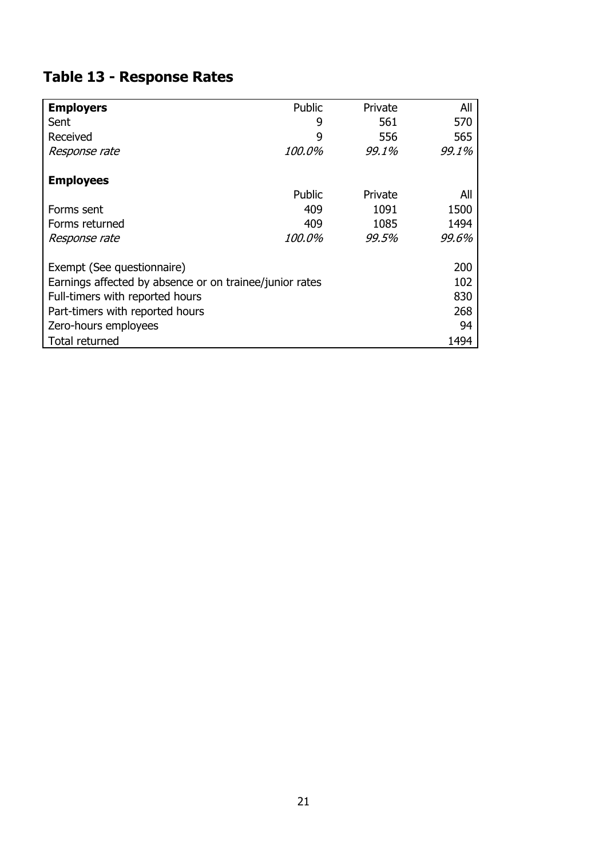# <span id="page-22-0"></span>**Table 13 - Response Rates**

| <b>Employers</b>                                        | Public        | Private | All   |  |  |  |  |
|---------------------------------------------------------|---------------|---------|-------|--|--|--|--|
| Sent                                                    | 9             | 561     | 570   |  |  |  |  |
| Received                                                | 9             | 556     | 565   |  |  |  |  |
| Response rate                                           | <i>100.0%</i> | 99.1%   | 99.1% |  |  |  |  |
|                                                         |               |         |       |  |  |  |  |
| <b>Employees</b>                                        |               |         |       |  |  |  |  |
|                                                         | Public        | Private | All   |  |  |  |  |
| Forms sent                                              | 409           | 1091    | 1500  |  |  |  |  |
| Forms returned                                          | 409           | 1085    | 1494  |  |  |  |  |
| Response rate                                           | <i>100.0%</i> | 99.5%   | 99.6% |  |  |  |  |
| Exempt (See questionnaire)                              |               |         | 200   |  |  |  |  |
|                                                         |               |         |       |  |  |  |  |
| Earnings affected by absence or on trainee/junior rates |               |         |       |  |  |  |  |
| Full-timers with reported hours                         |               |         |       |  |  |  |  |
| Part-timers with reported hours                         |               |         |       |  |  |  |  |
| Zero-hours employees                                    |               |         |       |  |  |  |  |
| Total returned                                          |               |         | 1494  |  |  |  |  |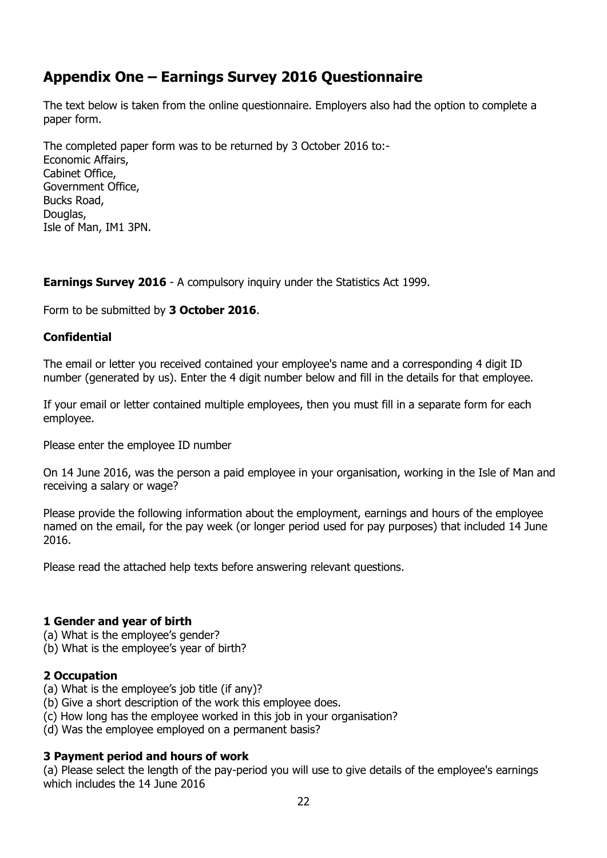# <span id="page-23-0"></span>**Appendix One – Earnings Survey 2016 Questionnaire**

The text below is taken from the online questionnaire. Employers also had the option to complete a paper form.

The completed paper form was to be returned by 3 October 2016 to:- Economic Affairs, Cabinet Office, Government Office, Bucks Road, Douglas, Isle of Man, IM1 3PN.

**Earnings Survey 2016** - A compulsory inquiry under the Statistics Act 1999.

Form to be submitted by **3 October 2016**.

### **Confidential**

The email or letter you received contained your employee's name and a corresponding 4 digit ID number (generated by us). Enter the 4 digit number below and fill in the details for that employee.

If your email or letter contained multiple employees, then you must fill in a separate form for each employee.

Please enter the employee ID number

On 14 June 2016, was the person a paid employee in your organisation, working in the Isle of Man and receiving a salary or wage?

Please provide the following information about the employment, earnings and hours of the employee named on the email, for the pay week (or longer period used for pay purposes) that included 14 June 2016.

Please read the attached help texts before answering relevant questions.

### **1 Gender and year of birth**

- (a) What is the employee's gender?
- (b) What is the employee's year of birth?

### **2 Occupation**

- (a) What is the employee's job title (if any)?
- (b) Give a short description of the work this employee does.
- (c) How long has the employee worked in this job in your organisation?
- (d) Was the employee employed on a permanent basis?

### **3 Payment period and hours of work**

(a) Please select the length of the pay-period you will use to give details of the employee's earnings which includes the 14 June 2016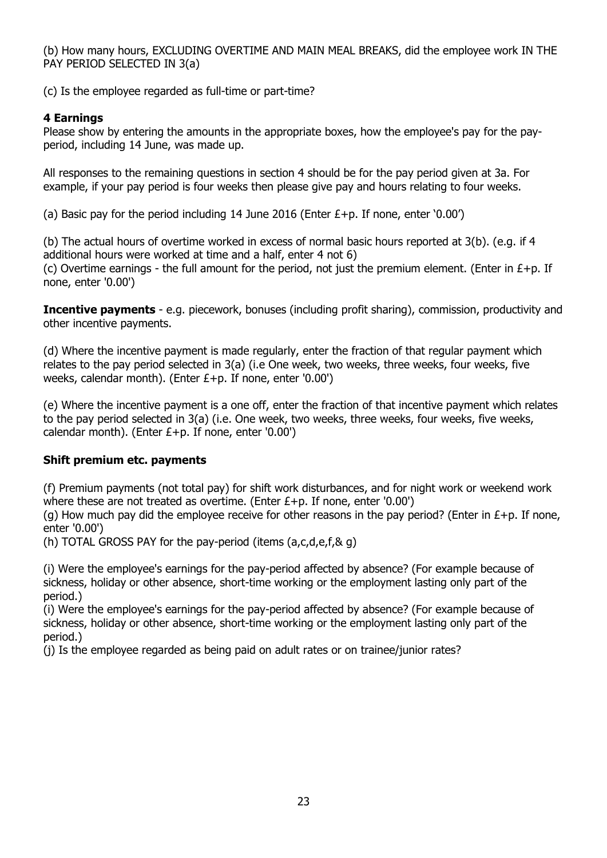(b) How many hours, EXCLUDING OVERTIME AND MAIN MEAL BREAKS, did the employee work IN THE PAY PERIOD SELECTED IN 3(a)

(c) Is the employee regarded as full-time or part-time?

### **4 Earnings**

Please show by entering the amounts in the appropriate boxes, how the employee's pay for the payperiod, including 14 June, was made up.

All responses to the remaining questions in section 4 should be for the pay period given at 3a. For example, if your pay period is four weeks then please give pay and hours relating to four weeks.

(a) Basic pay for the period including 14 June 2016 (Enter  $E+p$ . If none, enter '0.00')

(b) The actual hours of overtime worked in excess of normal basic hours reported at 3(b). (e.g. if 4 additional hours were worked at time and a half, enter 4 not 6)

(c) Overtime earnings - the full amount for the period, not just the premium element. (Enter in  $E+p$ . If none, enter '0.00')

**Incentive payments** - e.g. piecework, bonuses (including profit sharing), commission, productivity and other incentive payments.

(d) Where the incentive payment is made regularly, enter the fraction of that regular payment which relates to the pay period selected in 3(a) (i.e One week, two weeks, three weeks, four weeks, five weeks, calendar month). (Enter £+p. If none, enter '0.00')

(e) Where the incentive payment is a one off, enter the fraction of that incentive payment which relates to the pay period selected in 3(a) (i.e. One week, two weeks, three weeks, four weeks, five weeks, calendar month). (Enter  $E+p$ . If none, enter '0.00')

### **Shift premium etc. payments**

(f) Premium payments (not total pay) for shift work disturbances, and for night work or weekend work where these are not treated as overtime. (Enter £+p. If none, enter '0.00')

(g) How much pay did the employee receive for other reasons in the pay period? (Enter in  $E+$ p. If none, enter '0.00')

(h) TOTAL GROSS PAY for the pay-period (items  $(a,c,d,e,f,\& q)$ 

(i) Were the employee's earnings for the pay-period affected by absence? (For example because of sickness, holiday or other absence, short-time working or the employment lasting only part of the period.)

(i) Were the employee's earnings for the pay-period affected by absence? (For example because of sickness, holiday or other absence, short-time working or the employment lasting only part of the period.)

(j) Is the employee regarded as being paid on adult rates or on trainee/junior rates?